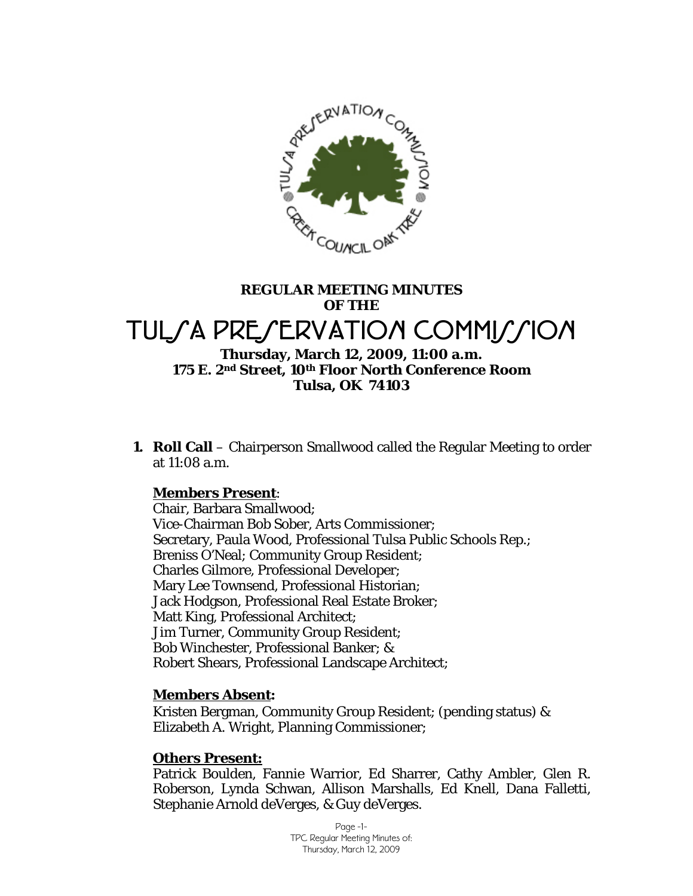

# **REGULAR MEETING MINUTES OF THE**  TULSA PRESERVATION COMMISSION

#### **Thursday, March 12, 2009, 11:00 a.m. 175 E. 2nd Street, 10th Floor North Conference Room Tulsa, OK 74103**

**1. Roll Call** – Chairperson Smallwood called the Regular Meeting to order at 11:08 a.m.

# **Members Present**:

Chair, Barbara Smallwood; Vice-Chairman Bob Sober, Arts Commissioner; Secretary, Paula Wood, Professional Tulsa Public Schools Rep.; Breniss O'Neal; Community Group Resident; Charles Gilmore, Professional Developer; Mary Lee Townsend, Professional Historian; Jack Hodgson, Professional Real Estate Broker; Matt King, Professional Architect; Jim Turner, Community Group Resident; Bob Winchester, Professional Banker; & Robert Shears, Professional Landscape Architect;

#### **Members Absent:**

Kristen Bergman, Community Group Resident; (pending status) & Elizabeth A. Wright, Planning Commissioner;

#### **Others Present:**

Patrick Boulden, Fannie Warrior, Ed Sharrer, Cathy Ambler, Glen R. Roberson, Lynda Schwan, Allison Marshalls, Ed Knell, Dana Falletti, Stephanie Arnold deVerges, & Guy deVerges.

> Page -1- TPC Regular Meeting Minutes of: Thursday, March 12, 2009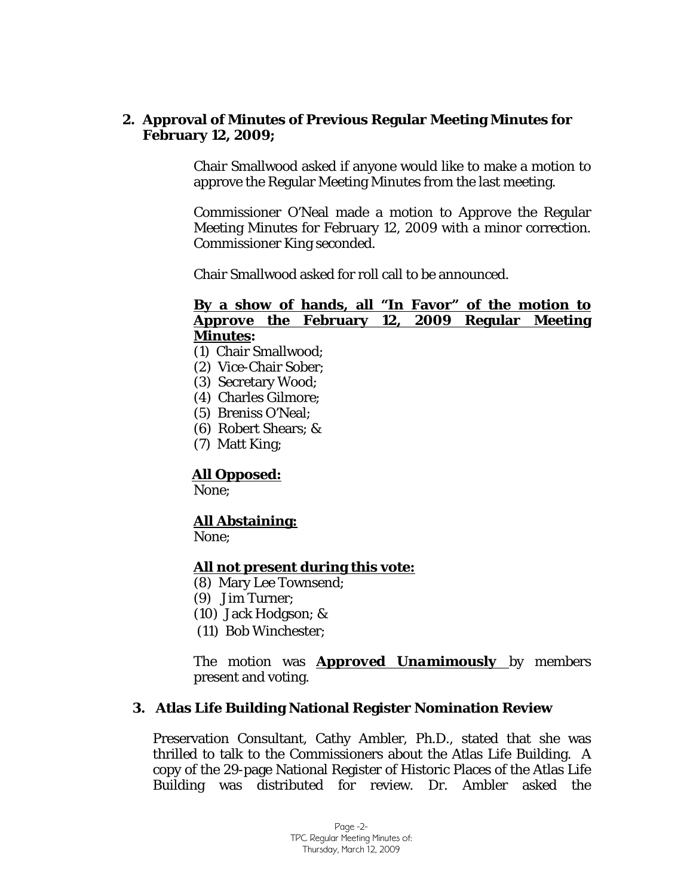#### **2. Approval of Minutes of Previous Regular Meeting Minutes for February 12, 2009;**

Chair Smallwood asked if anyone would like to make a motion to approve the Regular Meeting Minutes from the last meeting.

Commissioner O'Neal made a motion to *Approve* the Regular Meeting Minutes for February 12, 2009 with a minor correction. Commissioner King seconded.

Chair Smallwood asked for roll call to be announced.

# **By a show of hands, all "In Favor" of the motion to**  *Approve* **the February 12, 2009 Regular Meeting Minutes:**

- (1) Chair Smallwood;
- (2) Vice-Chair Sober;
- (3) Secretary Wood;
- (4) Charles Gilmore;
- (5) Breniss O'Neal;
- (6) Robert Shears; &
- (7) Matt King;

#### **All Opposed:**

None;

# **All Abstaining:**

None;

#### **All not present during this vote:**

- (8) Mary Lee Townsend;
- (9) Jim Turner;
- (10) Jack Hodgson; &
- (11) Bob Winchester;

The motion was *Approved Unamimously* by members present and voting.

#### **3. Atlas Life Building National Register Nomination Review**

Preservation Consultant, Cathy Ambler, Ph.D., stated that she was thrilled to talk to the Commissioners about the Atlas Life Building. A copy of the 29-page National Register of Historic Places of the Atlas Life Building was distributed for review. Dr. Ambler asked the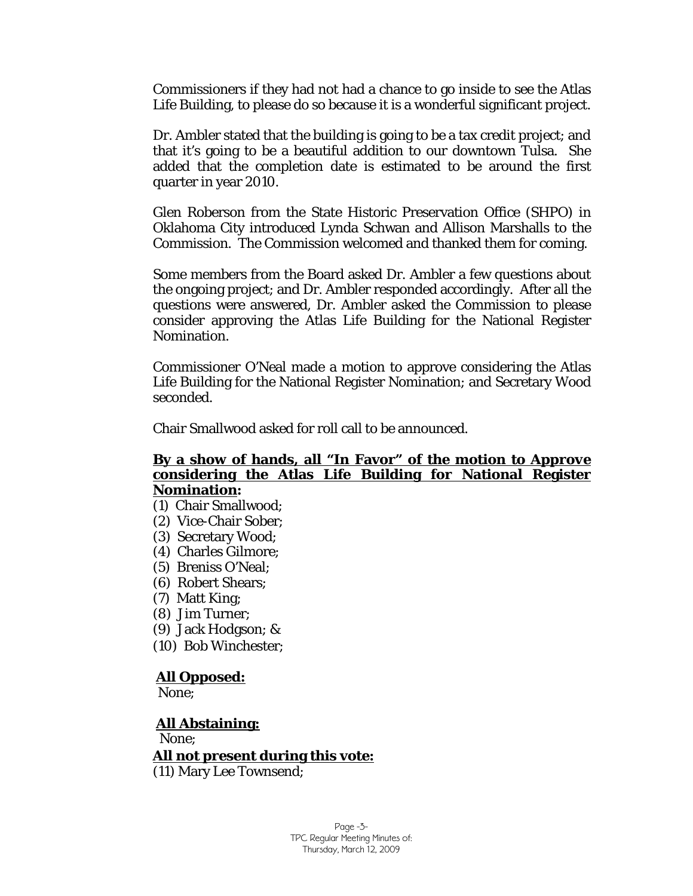Commissioners if they had not had a chance to go inside to see the Atlas Life Building, to please do so because it is a wonderful significant project.

Dr. Ambler stated that the building is going to be a tax credit project; and that it's going to be a beautiful addition to our downtown Tulsa. She added that the completion date is estimated to be around the first quarter in year 2010.

Glen Roberson from the State Historic Preservation Office (SHPO) in Oklahoma City introduced Lynda Schwan and Allison Marshalls to the Commission. The Commission welcomed and thanked them for coming.

Some members from the Board asked Dr. Ambler a few questions about the ongoing project; and Dr. Ambler responded accordingly. After all the questions were answered, Dr. Ambler asked the Commission to please consider approving the Atlas Life Building for the National Register Nomination.

Commissioner O'Neal made a motion to approve considering the Atlas Life Building for the National Register Nomination; and Secretary Wood seconded.

Chair Smallwood asked for roll call to be announced.

#### **By a show of hands, all "In Favor" of the motion to** *Approve* **considering the Atlas Life Building for National Register Nomination:**

- (1) Chair Smallwood;
- (2) Vice-Chair Sober;
- (3) Secretary Wood;
- (4) Charles Gilmore;
- (5) Breniss O'Neal;
- (6) Robert Shears;
- (7) Matt King;
- (8) Jim Turner;
- (9) Jack Hodgson; &
- (10) Bob Winchester;

#### **All Opposed:**

None;

#### **All Abstaining:**

None;

#### **All not present during this vote:**

(11) Mary Lee Townsend;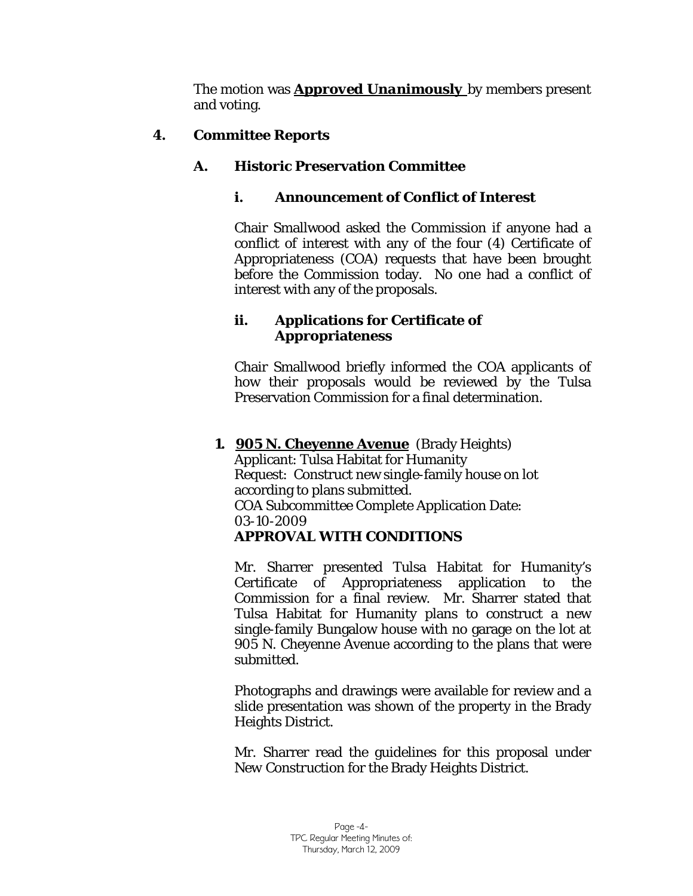The motion was *Approved Unanimously* by members present and voting.

# **4. Committee Reports**

# **A. Historic Preservation Committee**

# **i. Announcement of Conflict of Interest**

Chair Smallwood asked the Commission if anyone had a conflict of interest with any of the four (4) Certificate of Appropriateness (COA) requests that have been brought before the Commission today. No one had a conflict of interest with any of the proposals.

# **ii. Applications for Certificate of Appropriateness**

Chair Smallwood briefly informed the COA applicants of how their proposals would be reviewed by the Tulsa Preservation Commission for a final determination.

#### **1. 905 N. Cheyenne Avenue** (Brady Heights) Applicant: Tulsa Habitat for Humanity Request: Construct new single-family house on lot according to plans submitted. COA Subcommittee Complete Application Date: 03-10-2009 *APPROVAL WITH CONDITIONS*

Mr. Sharrer presented Tulsa Habitat for Humanity's Certificate of Appropriateness application to the Commission for a final review. Mr. Sharrer stated that Tulsa Habitat for Humanity plans to construct a new single-family Bungalow house with no garage on the lot at 905 N. Cheyenne Avenue according to the plans that were submitted.

Photographs and drawings were available for review and a slide presentation was shown of the property in the Brady Heights District.

Mr. Sharrer read the guidelines for this proposal under *New Construction* for the Brady Heights District.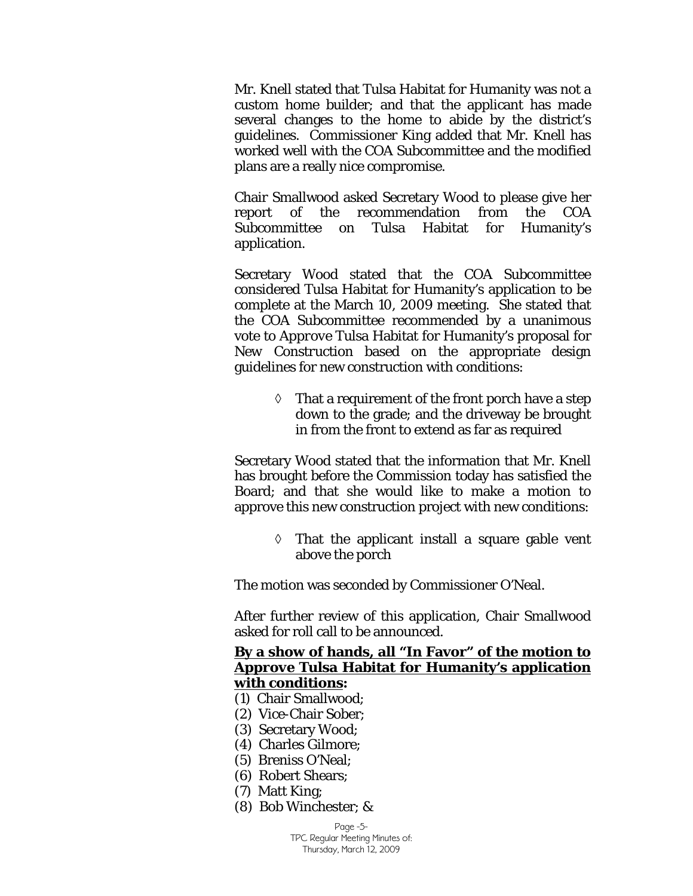Mr. Knell stated that Tulsa Habitat for Humanity was not a custom home builder; and that the applicant has made several changes to the home to abide by the district's guidelines. Commissioner King added that Mr. Knell has worked well with the COA Subcommittee and the modified plans are a really nice compromise.

Chair Smallwood asked Secretary Wood to please give her report of the recommendation from the COA Subcommittee on Tulsa Habitat for Humanity's application.

Secretary Wood stated that the COA Subcommittee considered Tulsa Habitat for Humanity's application to be complete at the March 10, 2009 meeting. She stated that the COA Subcommittee recommended by a unanimous vote to *Approve* Tulsa Habitat for Humanity's proposal for *New Construction* based on the appropriate design guidelines for new construction with conditions:

> $\Diamond$  That a requirement of the front porch have a step down to the grade; and the driveway be brought in from the front to extend as far as required

Secretary Wood stated that the information that Mr. Knell has brought before the Commission today has satisfied the Board; and that she would like to make a motion to approve this new construction project with new conditions:

> $\Diamond$  That the applicant install a square gable vent above the porch

The motion was seconded by Commissioner O'Neal.

After further review of this application, Chair Smallwood asked for roll call to be announced.

#### **By a show of hands, all "In Favor" of the motion to**  *Approve* **Tulsa Habitat for Humanity's application with conditions:**

- (1) Chair Smallwood;
- (2) Vice-Chair Sober;
- (3) Secretary Wood;
- (4) Charles Gilmore;
- (5) Breniss O'Neal;
- (6) Robert Shears;
- (7) Matt King;
- (8) Bob Winchester; &

Page -5-

TPC Regular Meeting Minutes of: Thursday, March 12, 2009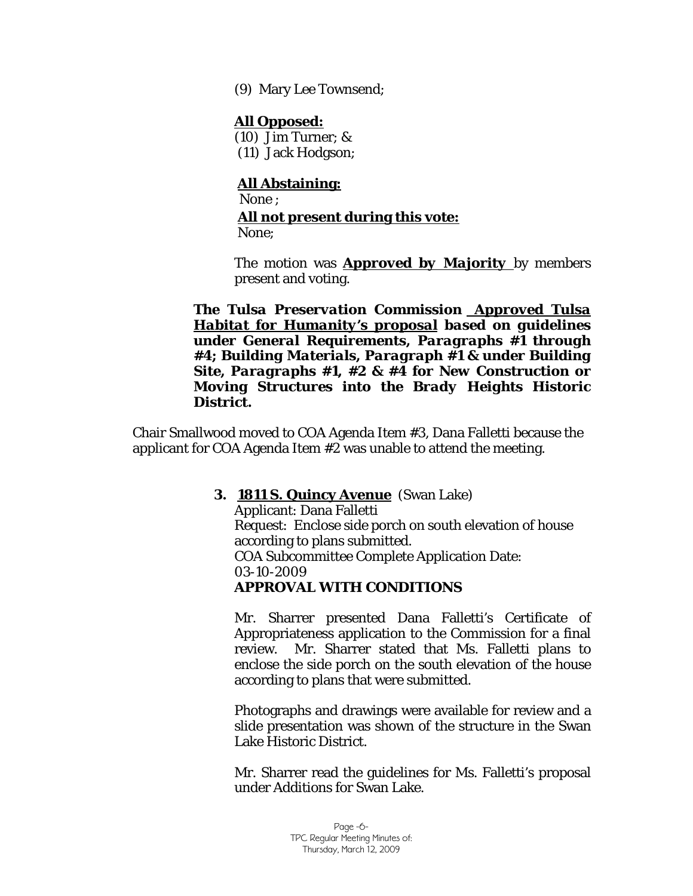(9) Mary Lee Townsend;

#### **All Opposed:**

(10) Jim Turner; & (11) Jack Hodgson;

## **All Abstaining:**

None ;

## **All not present during this vote:**

None;

The motion was *Approved by Majority* by members present and voting.

*The Tulsa Preservation Commission Approved Tulsa Habitat for Humanity's proposal based on guidelines under General Requirements, Paragraphs #1 through #4; Building Materials, Paragraph #1 & under Building Site, Paragraphs #1, #2 & #4 for New Construction or Moving Structures into the Brady Heights Historic District.*

Chair Smallwood moved to COA Agenda Item #3, Dana Falletti because the applicant for COA Agenda Item #2 was unable to attend the meeting.

#### **3. 1811 S. Quincy Avenue** (Swan Lake)

Applicant: Dana Falletti Request: Enclose side porch on south elevation of house according to plans submitted. COA Subcommittee Complete Application Date: 03-10-2009 *APPROVAL WITH CONDITIONS* 

Mr. Sharrer presented Dana Falletti's Certificate of Appropriateness application to the Commission for a final review. Mr. Sharrer stated that Ms. Falletti plans to enclose the side porch on the south elevation of the house according to plans that were submitted.

Photographs and drawings were available for review and a slide presentation was shown of the structure in the Swan Lake Historic District.

Mr. Sharrer read the guidelines for Ms. Falletti's proposal under *Additions* for Swan Lake.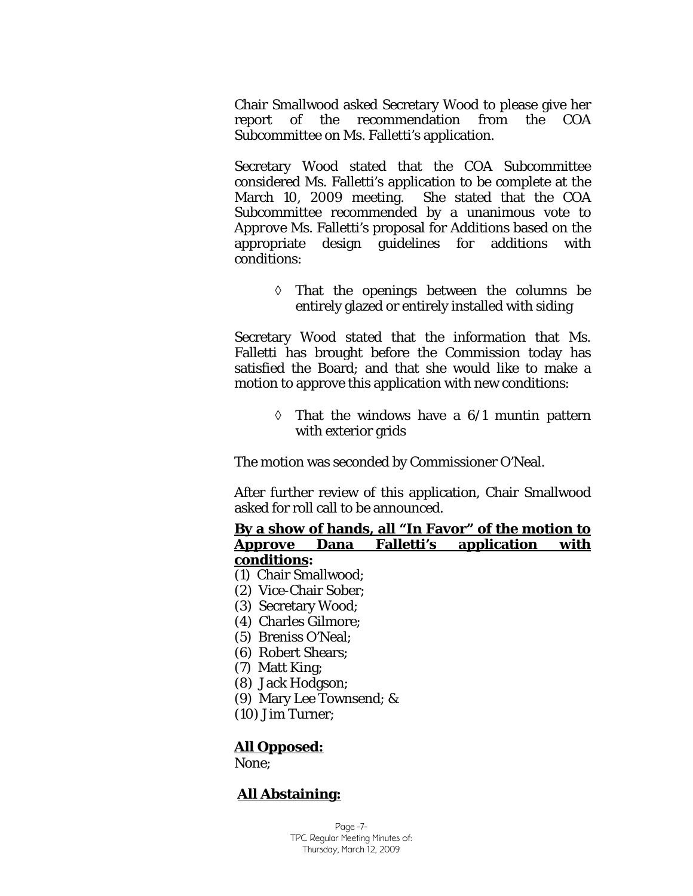Chair Smallwood asked Secretary Wood to please give her report of the recommendation from the COA Subcommittee on Ms. Falletti's application.

Secretary Wood stated that the COA Subcommittee considered Ms. Falletti's application to be complete at the March 10, 2009 meeting. She stated that the COA Subcommittee recommended by a unanimous vote to *Approve* Ms. Falletti's proposal for *Additions* based on the appropriate design guidelines for additions with conditions:

> ◊ That the openings between the columns be entirely glazed or entirely installed with siding

Secretary Wood stated that the information that Ms. Falletti has brought before the Commission today has satisfied the Board; and that she would like to make a motion to approve this application with new conditions:

> $\Diamond$  That the windows have a 6/1 muntin pattern with exterior grids

The motion was seconded by Commissioner O'Neal.

After further review of this application, Chair Smallwood asked for roll call to be announced.

#### **By a show of hands, all "In Favor" of the motion to**  *Approve* **Dana Falletti's application with conditions:**

- (1) Chair Smallwood;
- (2) Vice-Chair Sober;
- (3) Secretary Wood;
- (4) Charles Gilmore;
- (5) Breniss O'Neal;
- (6) Robert Shears;
- (7) Matt King;
- (8) Jack Hodgson;
- (9) Mary Lee Townsend; &
- (10) Jim Turner;

#### **All Opposed:**

None;

# **All Abstaining:**

Page -7- TPC Regular Meeting Minutes of: Thursday, March 12, 2009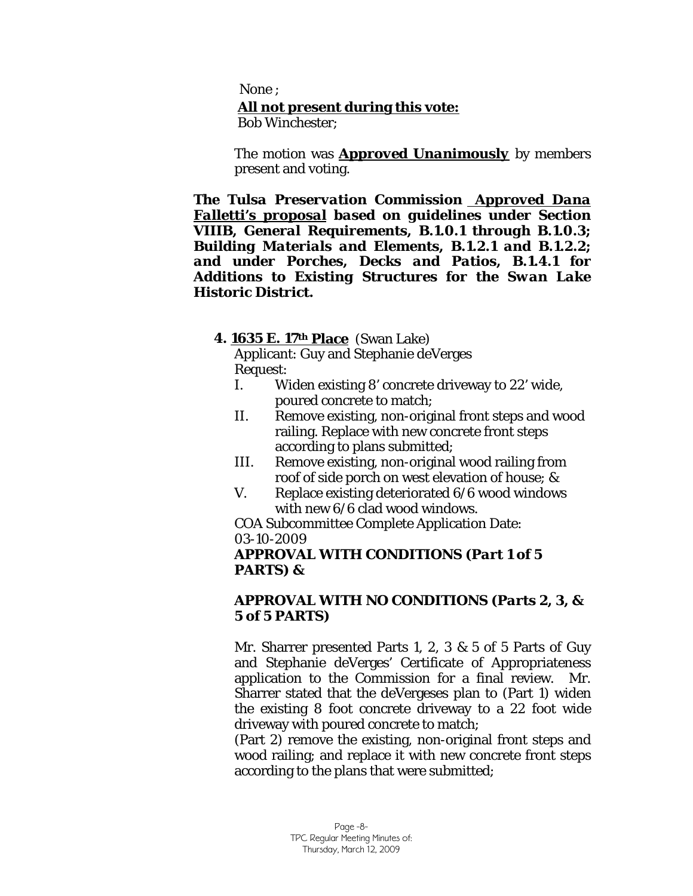None ; **All not present during this vote:** Bob Winchester;

The motion was *Approved Unanimously* by members present and voting.

*The Tulsa Preservation Commission Approved Dana Falletti's proposal based on guidelines under Section VIIIB, General Requirements, B.1.0.1 through B.1.0.3; Building Materials and Elements, B.1.2.1 and B.1.2.2; and under Porches, Decks and Patios, B.1.4.1 for Additions to Existing Structures for the Swan Lake Historic District.*

#### **4. 1635 E. 17th Place** (Swan Lake)

Applicant: Guy and Stephanie deVerges Request:

- I. Widen existing 8' concrete driveway to 22' wide, poured concrete to match;
- II. Remove existing, non-original front steps and wood railing. Replace with new concrete front steps according to plans submitted;
- III. Remove existing, non-original wood railing from roof of side porch on west elevation of house; &
- V. Replace existing deteriorated 6/6 wood windows with new 6/6 clad wood windows.

COA Subcommittee Complete Application Date: 03-10-2009

#### *APPROVAL WITH CONDITIONS (Part 1 of 5 PARTS) &*

#### *APPROVAL WITH NO CONDITIONS (Parts 2, 3, & 5 of 5 PARTS)*

Mr. Sharrer presented Parts 1, 2, 3 & 5 of 5 Parts of Guy and Stephanie deVerges' Certificate of Appropriateness application to the Commission for a final review. Mr. Sharrer stated that the deVergeses plan to (Part 1) widen the existing 8 foot concrete driveway to a 22 foot wide driveway with poured concrete to match;

(Part 2) remove the existing, non-original front steps and wood railing; and replace it with new concrete front steps according to the plans that were submitted;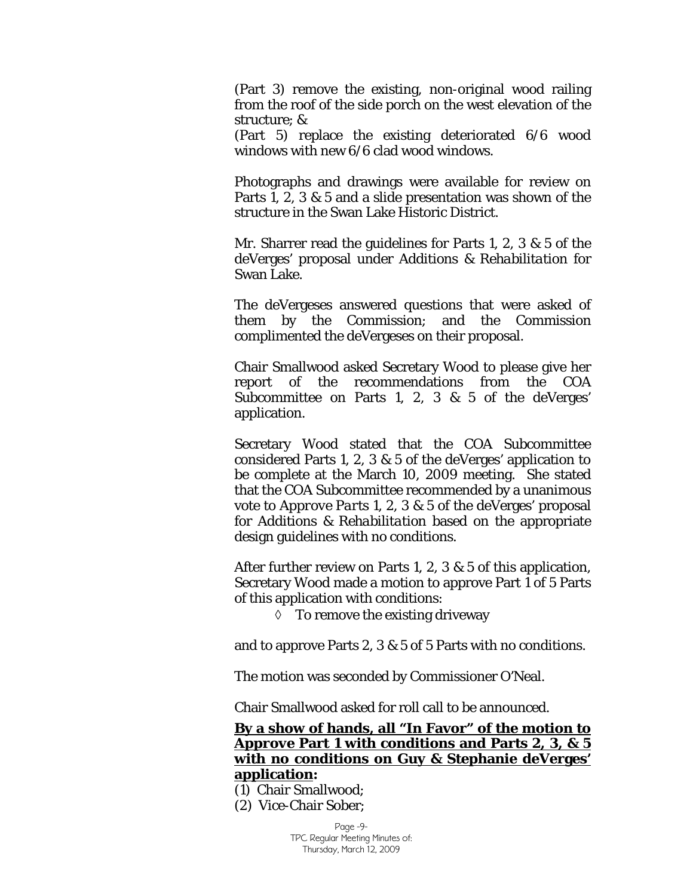(Part 3) remove the existing, non-original wood railing from the roof of the side porch on the west elevation of the structure; &

(Part 5) replace the existing deteriorated 6/6 wood windows with new 6/6 clad wood windows.

Photographs and drawings were available for review on Parts 1, 2, 3 & 5 and a slide presentation was shown of the structure in the Swan Lake Historic District.

Mr. Sharrer read the guidelines for Parts 1, 2, 3 & 5 of the deVerges' proposal under *Additions & Rehabilitation* for Swan Lake.

The deVergeses answered questions that were asked of them by the Commission; and the Commission complimented the deVergeses on their proposal.

Chair Smallwood asked Secretary Wood to please give her report of the recommendations from the COA Subcommittee on Parts 1, 2, 3 & 5 of the deVerges' application.

Secretary Wood stated that the COA Subcommittee considered Parts 1, 2, 3 & 5 of the deVerges' application to be complete at the March 10, 2009 meeting. She stated that the COA Subcommittee recommended by a unanimous vote to *Approve Parts 1, 2, 3 & 5* of the deVerges' proposal for *Additions & Rehabilitation* based on the appropriate design guidelines with no conditions.

After further review on Parts 1, 2, 3 & 5 of this application, Secretary Wood made a motion to approve Part 1 of 5 Parts of this application with conditions:

◊ To remove the existing driveway

and to approve Parts 2, 3 & 5 of 5 Parts with no conditions.

The motion was seconded by Commissioner O'Neal.

Chair Smallwood asked for roll call to be announced.

**By a show of hands, all "In Favor" of the motion to**  *Approve* **Part 1 with conditions and Parts 2, 3, & 5 with no conditions on Guy & Stephanie deVerges' application:** 

(1) Chair Smallwood;

(2) Vice-Chair Sober;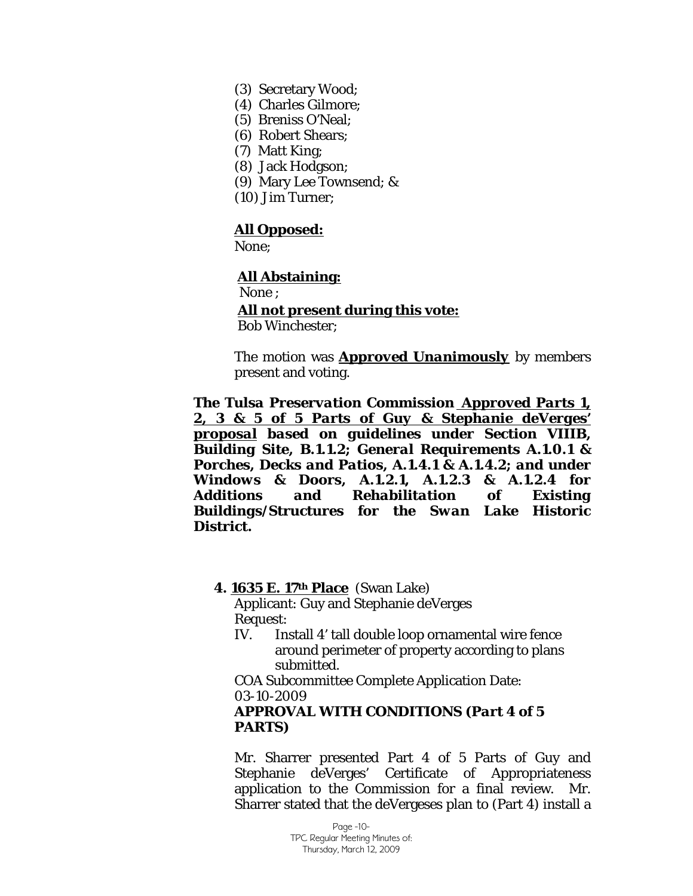- (3) Secretary Wood;
- (4) Charles Gilmore;
- (5) Breniss O'Neal;
- (6) Robert Shears;
- (7) Matt King;
- (8) Jack Hodgson;
- (9) Mary Lee Townsend; &
- (10) Jim Turner;

#### **All Opposed:**

None;

#### **All Abstaining:**

 None ; **All not present during this vote:** Bob Winchester;

The motion was *Approved Unanimously* by members present and voting.

*The Tulsa Preservation Commission Approved Parts 1, 2, 3 & 5 of 5 Parts of Guy & Stephanie deVerges' proposal based on guidelines under Section VIIIB, Building Site, B.1.1.2; General Requirements A.1.0.1 & Porches, Decks and Patios, A.1.4.1 & A.1.4.2; and under Windows & Doors, A.1.2.1, A.1.2.3 & A.1.2.4 for Additions and Rehabilitation of Existing Buildings/Structures for the Swan Lake Historic District.*

#### **4. 1635 E. 17th Place** (Swan Lake)

Applicant: Guy and Stephanie deVerges Request:

IV. Install 4' tall double loop ornamental wire fence around perimeter of property according to plans submitted.

COA Subcommittee Complete Application Date: 03-10-2009

#### *APPROVAL WITH CONDITIONS (Part 4 of 5 PARTS)*

Mr. Sharrer presented Part 4 of 5 Parts of Guy and Stephanie deVerges' Certificate of Appropriateness application to the Commission for a final review. Mr. Sharrer stated that the deVergeses plan to (Part 4) install a

> Page -10- TPC Regular Meeting Minutes of: Thursday, March 12, 2009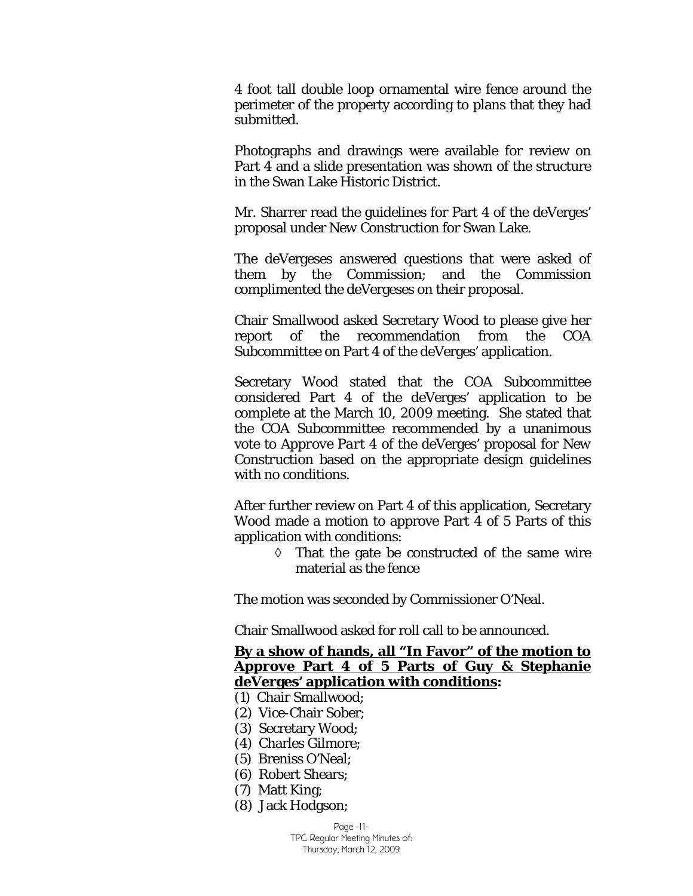4 foot tall double loop ornamental wire fence around the perimeter of the property according to plans that they had submitted.

Photographs and drawings were available for review on Part 4 and a slide presentation was shown of the structure in the Swan Lake Historic District.

Mr. Sharrer read the guidelines for Part 4 of the deVerges' proposal under *New Construction* for Swan Lake.

The deVergeses answered questions that were asked of them by the Commission; and the Commission complimented the deVergeses on their proposal.

Chair Smallwood asked Secretary Wood to please give her report of the recommendation from the COA Subcommittee on Part 4 of the deVerges' application.

Secretary Wood stated that the COA Subcommittee considered Part 4 of the deVerges' application to be complete at the March 10, 2009 meeting. She stated that the COA Subcommittee recommended by a unanimous vote to *Approve Part 4* of the deVerges' proposal for *New Construction* based on the appropriate design guidelines with no conditions.

After further review on Part 4 of this application, Secretary Wood made a motion to approve Part 4 of 5 Parts of this application with conditions:

> ◊ That the gate be constructed of the same wire material as the fence

The motion was seconded by Commissioner O'Neal.

Chair Smallwood asked for roll call to be announced.

#### **By a show of hands, all "In Favor" of the motion to**  *Approve* **Part 4 of 5 Parts of Guy & Stephanie deVerges' application with conditions:**

- (1) Chair Smallwood;
- (2) Vice-Chair Sober;
- (3) Secretary Wood;
- (4) Charles Gilmore;
- (5) Breniss O'Neal;
- (6) Robert Shears;
- (7) Matt King;
- (8) Jack Hodgson;

Page -11- TPC Regular Meeting Minutes of: Thursday, March 12, 2009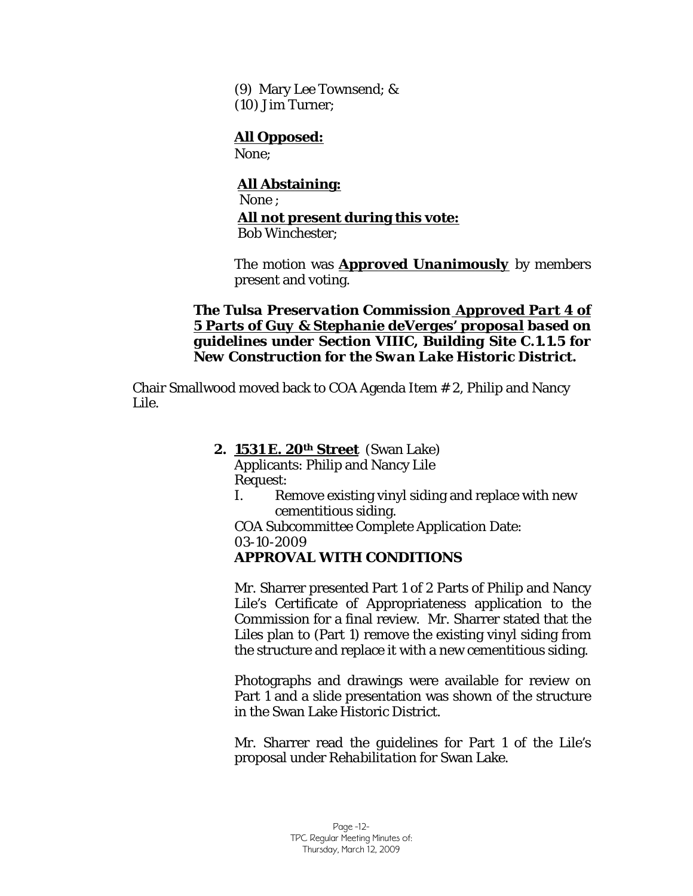(9) Mary Lee Townsend; & (10) Jim Turner;

# **All Opposed:**

None;

 **All Abstaining:** None ; **All not present during this vote:** Bob Winchester;

The motion was *Approved Unanimously* by members present and voting.

*The Tulsa Preservation Commission Approved Part 4 of 5 Parts of Guy & Stephanie deVerges' proposal based on guidelines under Section VIIIC, Building Site C.1.1.5 for New Construction for the Swan Lake Historic District.*

Chair Smallwood moved back to COA Agenda Item # 2, Philip and Nancy Lile.

# **2. 1531 E. 20th Street** (Swan Lake)

Applicants: Philip and Nancy Lile Request:

I. Remove existing vinyl siding and replace with new cementitious siding.

COA Subcommittee Complete Application Date: 03-10-2009

# *APPROVAL WITH CONDITIONS*

Mr. Sharrer presented Part 1 of 2 Parts of Philip and Nancy Lile's Certificate of Appropriateness application to the Commission for a final review. Mr. Sharrer stated that the Liles plan to (Part 1) remove the existing vinyl siding from the structure and replace it with a new cementitious siding.

Photographs and drawings were available for review on Part 1 and a slide presentation was shown of the structure in the Swan Lake Historic District.

Mr. Sharrer read the guidelines for Part 1 of the Lile's proposal under *Rehabilitation* for Swan Lake.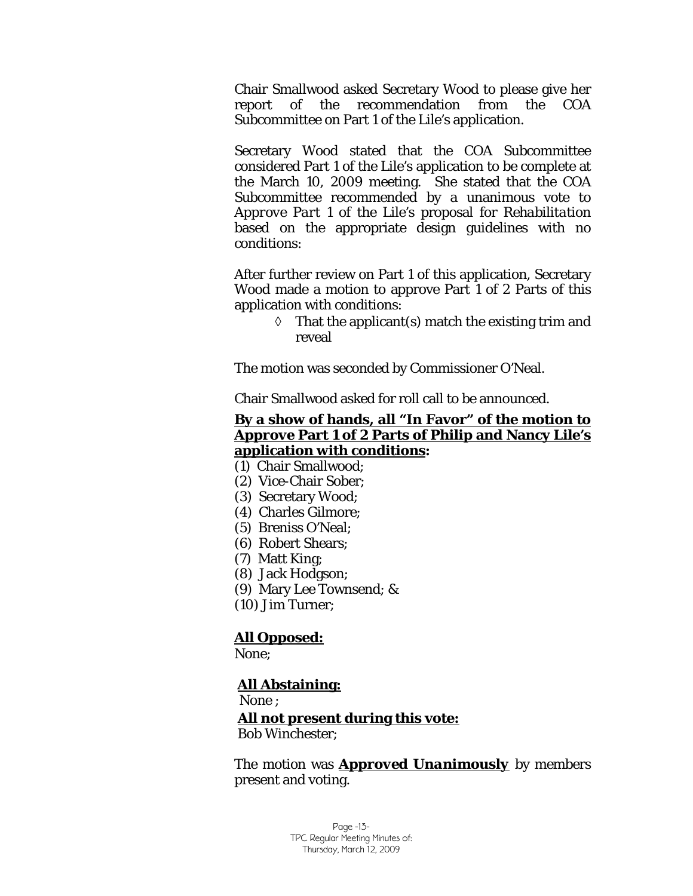Chair Smallwood asked Secretary Wood to please give her report of the recommendation from the COA Subcommittee on Part 1 of the Lile's application.

Secretary Wood stated that the COA Subcommittee considered Part 1 of the Lile's application to be complete at the March 10, 2009 meeting. She stated that the COA Subcommittee recommended by a unanimous vote to *Approve Part 1* of the Lile's proposal for *Rehabilitation*  based on the appropriate design guidelines with no conditions:

After further review on Part 1 of this application, Secretary Wood made a motion to approve Part 1 of 2 Parts of this application with conditions:

> $\Diamond$  That the applicant(s) match the existing trim and reveal

The motion was seconded by Commissioner O'Neal.

Chair Smallwood asked for roll call to be announced.

# **By a show of hands, all "In Favor" of the motion to**  *Approve* **Part 1 of 2 Parts of Philip and Nancy Lile's application with conditions:**

- (1) Chair Smallwood;
- (2) Vice-Chair Sober;
- (3) Secretary Wood;
- (4) Charles Gilmore;
- (5) Breniss O'Neal;
- (6) Robert Shears;
- (7) Matt King;
- (8) Jack Hodgson;
- (9) Mary Lee Townsend; &
- (10) Jim Turner;

#### **All Opposed:**

None;

#### **All Abstaining:**

None ;

**All not present during this vote:**

Bob Winchester;

The motion was *Approved Unanimously* by members present and voting.

> Page -13- TPC Regular Meeting Minutes of: Thursday, March 12, 2009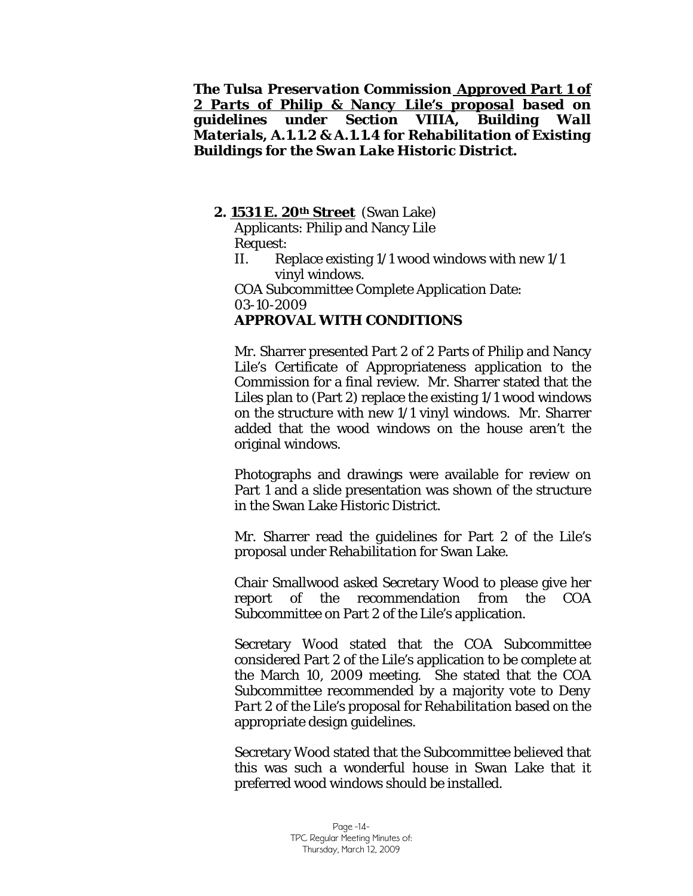#### *The Tulsa Preservation Commission Approved Part 1 of 2 Parts of Philip & Nancy Lile's proposal based on guidelines under Section VIIIA, Building Wall Materials, A.1.1.2 & A.1.1.4 for Rehabilitation of Existing Buildings for the Swan Lake Historic District.*

#### **2. 1531 E. 20th Street** (Swan Lake)

Applicants: Philip and Nancy Lile Request:

II. Replace existing 1/1 wood windows with new 1/1 vinyl windows.

COA Subcommittee Complete Application Date: 03-10-2009 *APPROVAL WITH CONDITIONS* 

Mr. Sharrer presented Part 2 of 2 Parts of Philip and Nancy Lile's Certificate of Appropriateness application to the Commission for a final review. Mr. Sharrer stated that the Liles plan to (Part 2) replace the existing 1/1 wood windows on the structure with new 1/1 vinyl windows. Mr. Sharrer added that the wood windows on the house aren't the original windows.

Photographs and drawings were available for review on Part 1 and a slide presentation was shown of the structure in the Swan Lake Historic District.

Mr. Sharrer read the guidelines for Part 2 of the Lile's proposal under *Rehabilitation* for Swan Lake.

Chair Smallwood asked Secretary Wood to please give her report of the recommendation from the COA Subcommittee on Part 2 of the Lile's application.

Secretary Wood stated that the COA Subcommittee considered Part 2 of the Lile's application to be complete at the March 10, 2009 meeting. She stated that the COA Subcommittee recommended by a majority vote to *Deny Part 2* of the Lile's proposal for *Rehabilitation* based on the appropriate design guidelines.

Secretary Wood stated that the Subcommittee believed that this was such a wonderful house in Swan Lake that it preferred wood windows should be installed.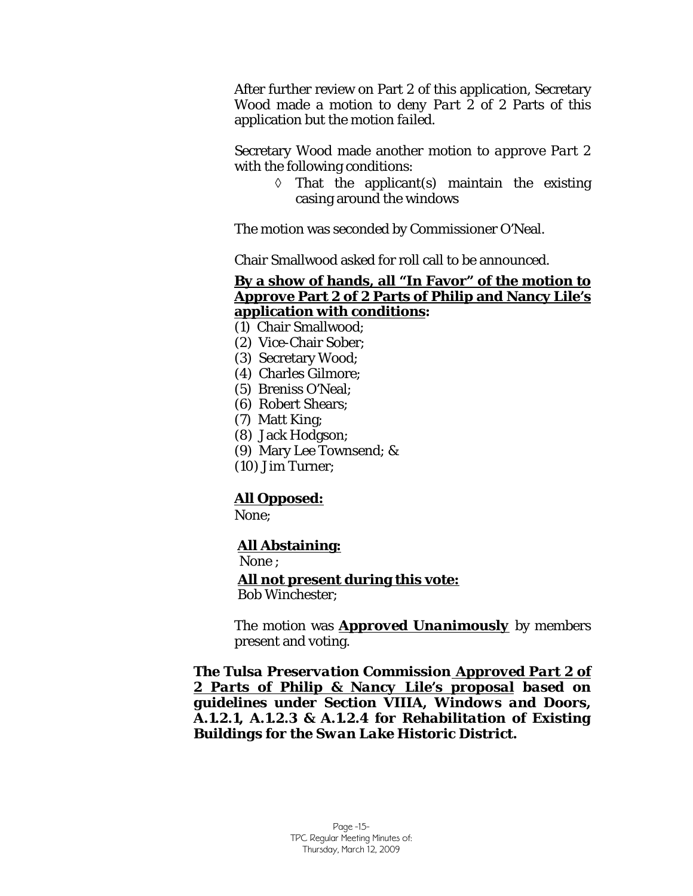After further review on Part 2 of this application, Secretary Wood made a motion to *deny Part 2* of 2 Parts of this application but the motion *failed*.

Secretary Wood made another motion to *approve Part 2* with the following conditions:

> $\Diamond$  That the applicant(s) maintain the existing casing around the windows

The motion was seconded by Commissioner O'Neal.

Chair Smallwood asked for roll call to be announced.

#### **By a show of hands, all "In Favor" of the motion to**  *Approve* **Part 2 of 2 Parts of Philip and Nancy Lile's application with conditions:**

- (1) Chair Smallwood;
- (2) Vice-Chair Sober;
- (3) Secretary Wood;
- (4) Charles Gilmore;
- (5) Breniss O'Neal;
- (6) Robert Shears;
- (7) Matt King;
- (8) Jack Hodgson;
- (9) Mary Lee Townsend; &
- (10) Jim Turner;

# **All Opposed:**

None;

# **All Abstaining:**

None ;

**All not present during this vote:**

Bob Winchester;

The motion was *Approved Unanimously* by members present and voting.

*The Tulsa Preservation Commission Approved Part 2 of 2 Parts of Philip & Nancy Lile's proposal based on guidelines under Section VIIIA, Windows and Doors, A.1.2.1, A.1.2.3 & A.1.2.4 for Rehabilitation of Existing Buildings for the Swan Lake Historic District.*